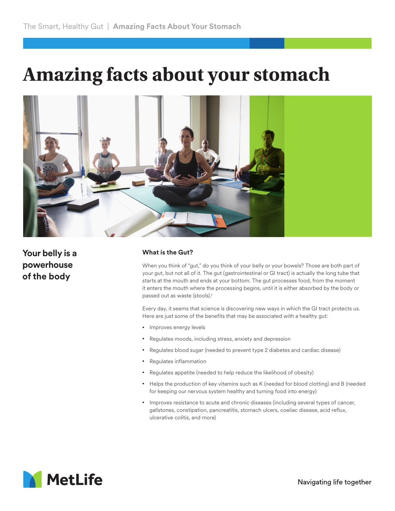## **Amazing facts about your stomach**



**Your belly is a powerhouse of the body**

## **What is the Gut?**

When you think of "gut," do you think of your belly or your bowels? Those are both part of your gut, but not all of it. The gut (gastrointestinal or GI tract) is actually the long tube that starts at the mouth and ends at your bottom. The gut processes food, from the moment it enters the mouth where the processing begins, until it is either absorbed by the body or passed out as waste (stools).1

Every day, it seems that science is discovering new ways in which the GI tract protects us. Here are just some of the benefits that may be associated with a healthy gut:

- Improves energy levels
- Regulates moods, including stress, anxiety and depression
- Regulates blood sugar (needed to prevent type 2 diabetes and cardiac disease)
- Regulates inflammation
- Regulates appetite (needed to help reduce the likelihood of obesity)
- Helps the production of key vitamins such as K (needed for blood clotting) and B (needed for keeping our nervous system healthy and turning food into energy)
- Improves resistance to acute and chronic diseases (including several types of cancer, gallstones, constipation, pancreatitis, stomach ulcers, coeliac disease, acid reflux, ulcerative colitis, and more)